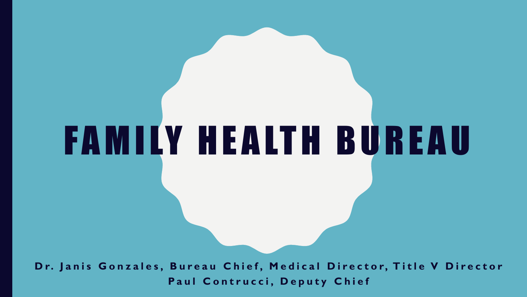**Dr. Janis Gonzales, Bureau Chief, Medical Director, Title V Director** Paul Contrucci, Deputy Chief

F A M I LY H E A LT H B U R E A U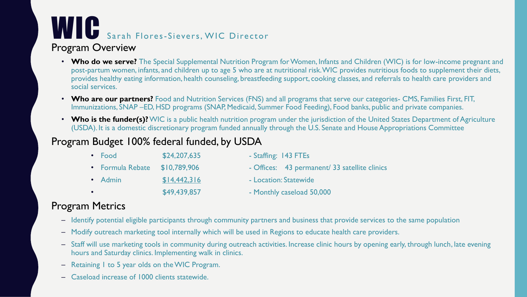## WIC Sarah Flores-Sievers, WIC Director

### Program Overview

- **Who do we serve?** The Special Supplemental Nutrition Program for Women, Infants and Children (WIC) is for low-income pregnant and post-partum women, infants, and children up to age 5 who are at nutritional risk. WIC provides nutritious foods to supplement their diets, provides healthy eating information, health counseling, breastfeeding support, cooking classes, and referrals to health care providers and social services.
- **Who are our partners?** Food and Nutrition Services (FNS) and all programs that serve our categories- CMS, Families First, FIT, Immunizations, SNAP –ED, HSD programs (SNAP, Medicaid, Summer Food Feeding), Food banks, public and private companies.
- Who is the funder(s)? WIC is a public health nutrition program under the jurisdiction of the United States Department of Agriculture (USDA). It is a domestic discretionary program funded annually through the U.S. Senate and House Appropriations Committee

### Program Budget 100% federal funded, by USDA

• Food \$24,207,635 - Staffing: 143 FTEs • Formula Rebate \$10,789,906 - Offices: 43 permanent/ 33 satellite clinics • Admin \$14,442,316 - Location: Statewide • **\$49,439,857** - Monthly caseload 50,000

### Program Metrics

- Identify potential eligible participants through community partners and business that provide services to the same population
- Modify outreach marketing tool internally which will be used in Regions to educate health care providers.
- Staff will use marketing tools in community during outreach activities. Increase clinic hours by opening early, through lunch, late evening hours and Saturday clinics. Implementing walk in clinics.
- Retaining 1 to 5 year olds on the WIC Program.
- Caseload increase of 1000 clients statewide.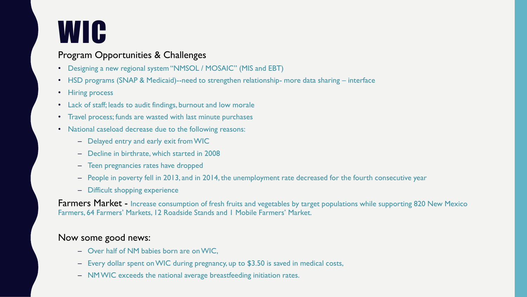### **WIC**

#### Program Opportunities & Challenges

- Designing a new regional system "NMSOL / MOSAIC" (MIS and EBT)
- HSD programs (SNAP & Medicaid)--need to strengthen relationship- more data sharing interface
- Hiring process
- Lack of staff; leads to audit findings, burnout and low morale
- Travel process; funds are wasted with last minute purchases
- National caseload decrease due to the following reasons:
	- Delayed entry and early exit from WIC
	- Decline in birthrate, which started in 2008
	- Teen pregnancies rates have dropped
	- People in poverty fell in 2013, and in 2014, the unemployment rate decreased for the fourth consecutive year
	- Difficult shopping experience

Farmers Market - Increase consumption of fresh fruits and vegetables by target populations while supporting 820 New Mexico Farmers, 64 Farmers' Markets, 12 Roadside Stands and 1 Mobile Farmers' Market.

#### Now some good news:

- Over half of NM babies born are on WIC,
- Every dollar spent on WIC during pregnancy, up to \$3.50 is saved in medical costs,
- NM WIC exceeds the national average breastfeeding initiation rates.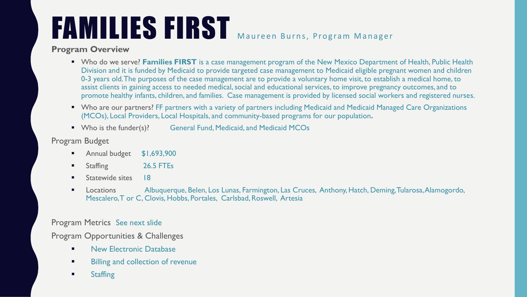# FAMILIES FIRST Maureen Burns, Program Manager

#### **Program Overview**

- Who do we serve? **Families FIRST** is a case management program of the New Mexico Department of Health, Public Health Division and it is funded by Medicaid to provide targeted case management to Medicaid eligible pregnant women and children 0-3 years old. The purposes of the case management are to provide a voluntary home visit, to establish a medical home, to assist clients in gaining access to needed medical, social and educational services, to improve pregnancy outcomes, and to promote healthy infants, children, and families. Case management is provided by licensed social workers and registered nurses.
- Who are our partners? FF partners with a variety of partners including Medicaid and Medicaid Managed Care Organizations (MCOs), Local Providers, Local Hospitals, and community-based programs for our population**.**
- Who is the funder(s)? General Fund, Medicaid, and Medicaid MCOs

#### Program Budget

- **Annual budget \$1,693,900**
- **Staffing 26.5 FTEs**
- **Statewide sites** 18
- Locations Albuquerque, Belen, Los Lunas, Farmington, Las Cruces, Anthony, Hatch, Deming, Tularosa, Alamogordo, Mescalero, T or C, Clovis, Hobbs, Portales, Carlsbad, Roswell, Artesia

#### Program Metrics See next slide

Program Opportunities & Challenges

- **New Electronic Database**
- **Billing and collection of revenue**
- **Staffing**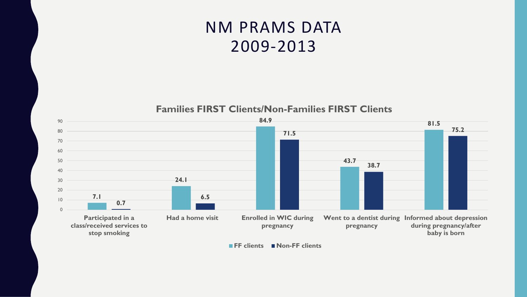### NM PRAMS DATA 2009-2013

**Families FIRST Clients/Non-Families FIRST Clients**



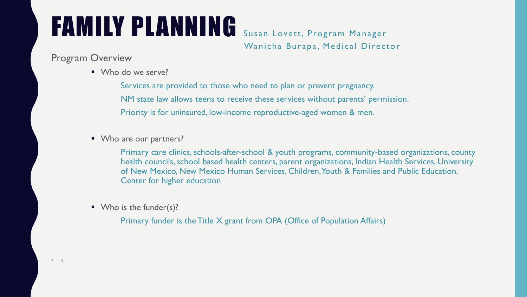### FAMILY PLANNING Susan Lovett, Program Manager

Wanicha Burapa, Medical Director

### Program Overview

■ Who do we serve?

Services are provided to those who need to plan or prevent pregnancy. NM state law allows teens to receive these services without parents' permission. Priority is for uninsured, low-income reproductive-aged women & men.

■ Who are our partners?

Primary care clinics, schools-after-school & youth programs, community-based organizations, county health councils, school based health centers, parent organizations, Indian Health Services, University of New Mexico, New Mexico Human Services, Children, Youth & Families and Public Education, Center for higher education

Who is the funder(s)?

Primary funder is the Title X grant from OPA (Office of Population Affairs)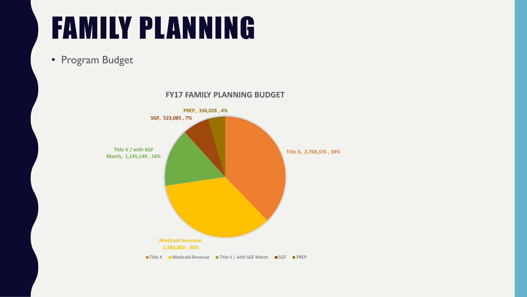• Program Budget

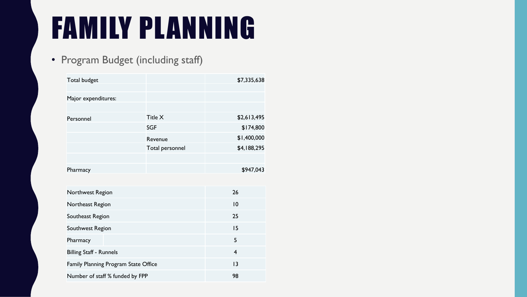### • Program Budget (including staff)

| <b>Total budget</b> |                 | \$7,335,638 |
|---------------------|-----------------|-------------|
| Major expenditures: |                 |             |
|                     |                 |             |
| Personnel           | Title X         | \$2,613,495 |
|                     | <b>SGF</b>      | \$174,800   |
|                     | Revenue         | \$1,400,000 |
|                     | Total personnel | \$4,188,295 |
|                     |                 |             |
| Pharmacy            |                 | \$947,043   |
|                     |                 |             |
| Northwest Region    |                 | 26          |
| Northeast Region    |                 | $ 0\rangle$ |
| Southeast Region    |                 | 25          |
| Southwest Region    |                 | 15          |

| Southwest Region                            | 15 |
|---------------------------------------------|----|
| Pharmacy                                    |    |
| <b>Billing Staff - Runnels</b>              |    |
| <b>Family Planning Program State Office</b> | 13 |
| Number of staff % funded by FPP             | 98 |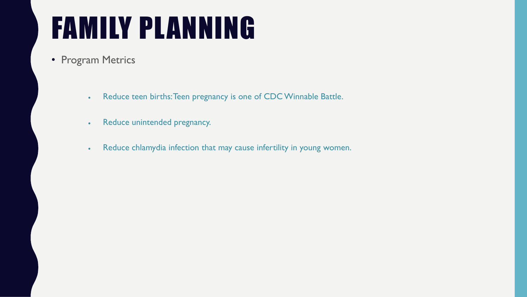- Program Metrics
	- . Reduce teen births: Teen pregnancy is one of CDC Winnable Battle.
	- Reduce unintended pregnancy.
	- . Reduce chlamydia infection that may cause infertility in young women.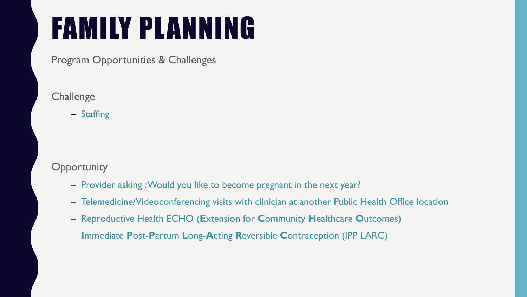Program Opportunities & Challenges

**Challenge** 

– Staffing

**Opportunity** 

- Provider asking : Would you like to become pregnant in the next year?
- Telemedicine/Videoconferencing visits with clinician at another Public Health Office location
- Reproductive Health ECHO (**E**xtension for **C**ommunity **H**ealthcare **O**utcomes)
- **I**mmediate **P**ost-**P**artum **L**ong-**A**cting **R**eversible **C**ontraception (IPP LARC)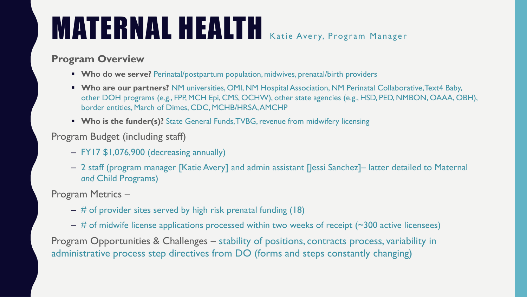### MATERNAL HEALTH Katie Aver y, Program Manager

### **Program Overview**

- Who do we serve? Perinatal/postpartum population, midwives, prenatal/birth providers
- **Who are our partners?** NM universities, OMI, NM Hospital Association, NM Perinatal Collaborative, Text4 Baby, other DOH programs (e.g., FPP, MCH Epi, CMS, OCHW), other state agencies (e.g., HSD, PED, NMBON, OAAA, OBH), border entities, March of Dimes, CDC, MCHB/HRSA, AMCHP
- **Who is the funder(s)?** State General Funds, TVBG, revenue from midwifery licensing

### Program Budget (including staff)

- FY17 \$1,076,900 (decreasing annually)
- 2 staff (program manager [Katie Avery] and admin assistant [Jessi Sanchez]– latter detailed to Maternal *and* Child Programs)

Program Metrics –

- $-$  # of provider sites served by high risk prenatal funding (18)
- # of midwife license applications processed within two weeks of receipt (~300 active licensees)

Program Opportunities & Challenges – stability of positions, contracts process, variability in administrative process step directives from DO (forms and steps constantly changing)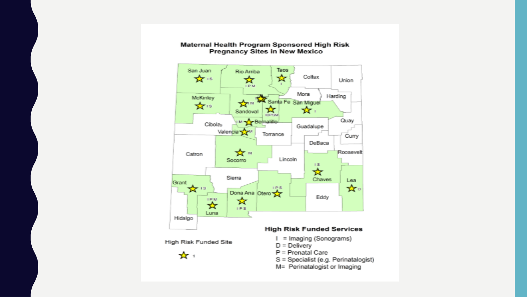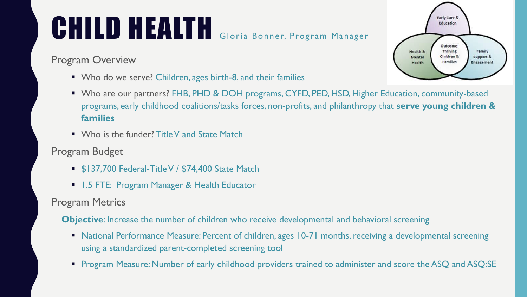# CHILD HEALTH Gloria Bonner, Program Manager

Program Overview

- Who do we serve? Children, ages birth-8, and their families
- Who are our partners? FHB, PHD & DOH programs, CYFD, PED, HSD, Higher Education, community-based programs, early childhood coalitions/tasks forces, non-profits, and philanthropy that **serve young children & families**
- Who is the funder? Title V and State Match
- Program Budget
	- **5137,700 Federal-Title V / \$74,400 State Match**
	- **1.5 FTE: Program Manager & Health Educator**

Program Metrics

**Objective**: Increase the number of children who receive developmental and behavioral screening

- National Performance Measure: Percent of children, ages 10-71 months, receiving a developmental screening using a standardized parent-completed screening tool
- **Program Measure: Number of early childhood providers trained to administer and score the ASQ and ASQ:SE**

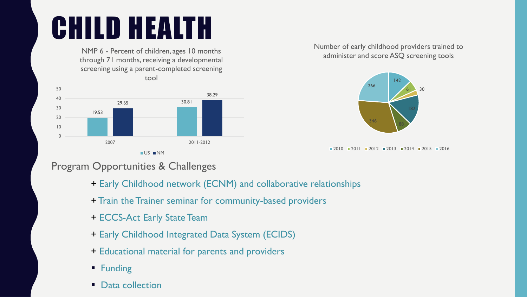# CHILD HEALTH

NMP 6 - Percent of children, ages 10 months through 71 months, receiving a developmental screening using a parent-completed screening

tool



Number of early childhood providers trained to administer and score ASQ screening tools



 $2010 = 2011 = 2012 = 2013 = 2014 = 2015 = 2016$ 

### Program Opportunities & Challenges

- + Early Childhood network (ECNM) and collaborative relationships
- + Train the Trainer seminar for community-based providers
- + ECCS-Act Early State Team
- + Early Childhood Integrated Data System (ECIDS)
- + Educational material for parents and providers
- **Funding**
- **Data collection**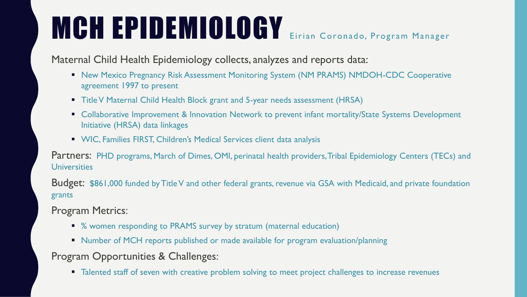# MCH EPIDEMIOLOGY Eirian Coronado, Program Manager

Maternal Child Health Epidemiology collects, analyzes and reports data:

- **New Mexico Pregnancy Risk Assessment Monitoring System (NM PRAMS) NMDOH-CDC Cooperative** agreement 1997 to present
- Title V Maternal Child Health Block grant and 5-year needs assessment (HRSA)
- Collaborative Improvement & Innovation Network to prevent infant mortality/State Systems Development Initiative (HRSA) data linkages
- **WIC, Families FIRST, Children's Medical Services client data analysis**

Partners: PHD programs, March of Dimes, OMI, perinatal health providers, Tribal Epidemiology Centers (TECs) and **Universities** 

Budget: \$861,000 funded by Title V and other federal grants, revenue via GSA with Medicaid, and private foundation grants

Program Metrics:

- % women responding to PRAMS survey by stratum (maternal education)
- Number of MCH reports published or made available for program evaluation/planning

Program Opportunities & Challenges:

• Talented staff of seven with creative problem solving to meet project challenges to increase revenues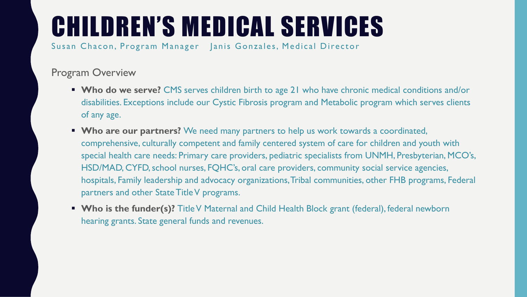Susan Chacon, Program Manager Janis Gonzales, Medical Director

### Program Overview

- **Who do we serve?** CMS serves children birth to age 21 who have chronic medical conditions and/or disabilities. Exceptions include our Cystic Fibrosis program and Metabolic program which serves clients of any age.
- **Who are our partners?** We need many partners to help us work towards a coordinated, comprehensive, culturally competent and family centered system of care for children and youth with special health care needs: Primary care providers, pediatric specialists from UNMH, Presbyterian, MCO's, HSD/MAD, CYFD, school nurses, FQHC's, oral care providers, community social service agencies, hospitals, Family leadership and advocacy organizations, Tribal communities, other FHB programs, Federal partners and other State Title V programs.
- **Who is the funder(s)?** Title V Maternal and Child Health Block grant (federal), federal newborn hearing grants. State general funds and revenues.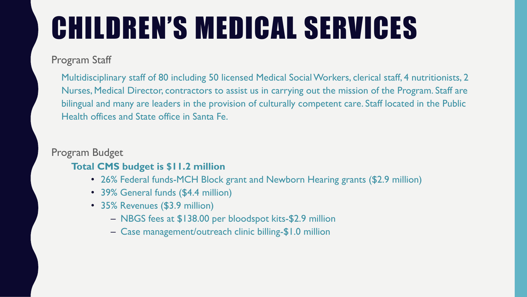### Program Staff

Multidisciplinary staff of 80 including 50 licensed Medical Social Workers, clerical staff, 4 nutritionists, 2 Nurses, Medical Director, contractors to assist us in carrying out the mission of the Program. Staff are bilingual and many are leaders in the provision of culturally competent care. Staff located in the Public Health offices and State office in Santa Fe.

### Program Budget

### **Total CMS budget is \$11.2 million**

- 26% Federal funds-MCH Block grant and Newborn Hearing grants (\$2.9 million)
- 39% General funds (\$4.4 million)
- 35% Revenues (\$3.9 million)
	- NBGS fees at \$138.00 per bloodspot kits-\$2.9 million
	- Case management/outreach clinic billing-\$1.0 million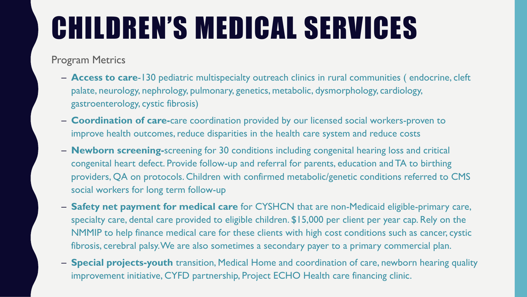Program Metrics

- **Access to care**-130 pediatric multispecialty outreach clinics in rural communities ( endocrine, cleft palate, neurology, nephrology, pulmonary, genetics, metabolic, dysmorphology, cardiology, gastroenterology, cystic fibrosis)
- **Coordination of care-**care coordination provided by our licensed social workers-proven to improve health outcomes, reduce disparities in the health care system and reduce costs
- **Newborn screening-**screening for 30 conditions including congenital hearing loss and critical congenital heart defect. Provide follow-up and referral for parents, education and TA to birthing providers, QA on protocols. Children with confirmed metabolic/genetic conditions referred to CMS social workers for long term follow-up
- **Safety net payment for medical care** for CYSHCN that are non-Medicaid eligible-primary care, specialty care, dental care provided to eligible children. \$15,000 per client per year cap. Rely on the NMMIP to help finance medical care for these clients with high cost conditions such as cancer, cystic fibrosis, cerebral palsy. We are also sometimes a secondary payer to a primary commercial plan.
- **Special projects-youth** transition, Medical Home and coordination of care, newborn hearing quality improvement initiative, CYFD partnership, Project ECHO Health care financing clinic.